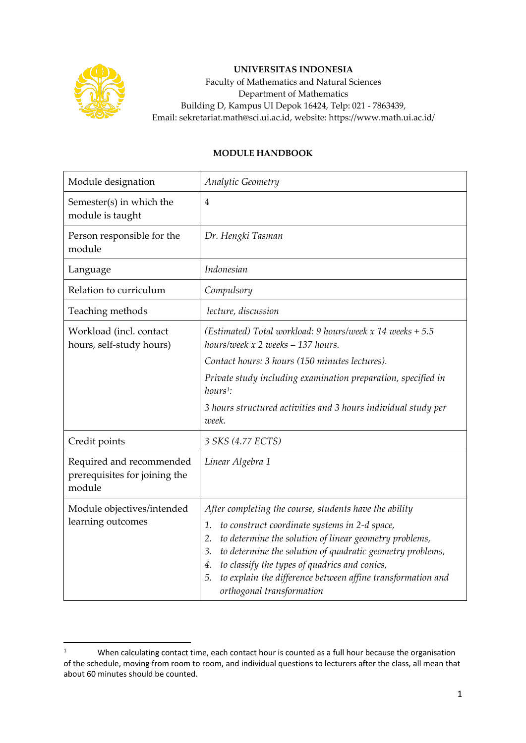

## **UNIVERSITAS INDONESIA**

Faculty of Mathematics and Natural Sciences Department of Mathematics Building D, Kampus UI Depok 16424, Telp: 021 - 7863439, Email: sekretariat.math@sci.ui.ac.id, website: https://www.math.ui.ac.id/

## **MODULE HANDBOOK**

| Module designation                                                  | Analytic Geometry                                                                                                                                                                                                                                                                                                                                                                                         |
|---------------------------------------------------------------------|-----------------------------------------------------------------------------------------------------------------------------------------------------------------------------------------------------------------------------------------------------------------------------------------------------------------------------------------------------------------------------------------------------------|
| Semester(s) in which the<br>module is taught                        | $\overline{4}$                                                                                                                                                                                                                                                                                                                                                                                            |
| Person responsible for the<br>module                                | Dr. Hengki Tasman                                                                                                                                                                                                                                                                                                                                                                                         |
| Language                                                            | Indonesian                                                                                                                                                                                                                                                                                                                                                                                                |
| Relation to curriculum                                              | Compulsory                                                                                                                                                                                                                                                                                                                                                                                                |
| Teaching methods                                                    | lecture, discussion                                                                                                                                                                                                                                                                                                                                                                                       |
| Workload (incl. contact<br>hours, self-study hours)                 | (Estimated) Total workload: 9 hours/week $x$ 14 weeks + 5.5<br>hours/week $x$ 2 weeks = 137 hours.                                                                                                                                                                                                                                                                                                        |
|                                                                     | Contact hours: 3 hours (150 minutes lectures).                                                                                                                                                                                                                                                                                                                                                            |
|                                                                     | Private study including examination preparation, specified in<br>$hours1$ :                                                                                                                                                                                                                                                                                                                               |
|                                                                     | 3 hours structured activities and 3 hours individual study per<br>week.                                                                                                                                                                                                                                                                                                                                   |
| Credit points                                                       | 3 SKS (4.77 ECTS)                                                                                                                                                                                                                                                                                                                                                                                         |
| Required and recommended<br>prerequisites for joining the<br>module | Linear Algebra 1                                                                                                                                                                                                                                                                                                                                                                                          |
| Module objectives/intended<br>learning outcomes                     | After completing the course, students have the ability<br>to construct coordinate systems in 2-d space,<br>1.<br>to determine the solution of linear geometry problems,<br>2.<br>to determine the solution of quadratic geometry problems,<br>3.<br>to classify the types of quadrics and conics,<br>4.<br>to explain the difference between affine transformation and<br>5.<br>orthogonal transformation |

<sup>&</sup>lt;sup>1</sup> When calculating contact time, each contact hour is counted as a full hour because the organisation of the schedule, moving from room to room, and individual questions to lecturers after the class, all mean that about 60 minutes should be counted.